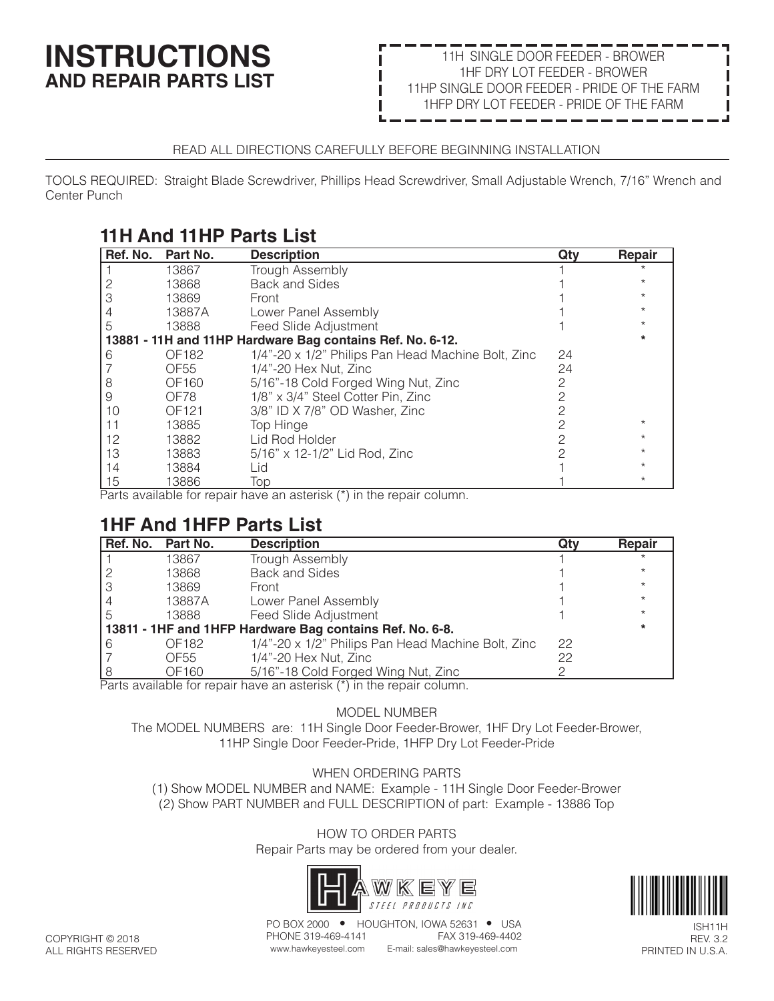# **INSTRUCTIONS AND REPAIR PARTS LIST**

#### 11H SINGLE DOOR FEEDER - BROWER 1HF DRY LOT FEEDER - BROWER 11HP SINGLE DOOR FEEDER - PRIDE OF THE FARM 1HFP DRY LOT FEEDER - PRIDE OF THE FARM

#### READ ALL DIRECTIONS CAREFULLY BEFORE BEGINNING INSTALLATION

TOOLS REQUIRED: Straight Blade Screwdriver, Phillips Head Screwdriver, Small Adjustable Wrench, 7/16" Wrench and Center Punch

#### **11H And 11HP Parts List**

| Ref. No.                                                  | Part No.          | <b>Description</b>                                 | Qty | Repair   |
|-----------------------------------------------------------|-------------------|----------------------------------------------------|-----|----------|
|                                                           | 13867             | <b>Trough Assembly</b>                             |     |          |
|                                                           | 13868             | <b>Back and Sides</b>                              |     |          |
|                                                           | 13869             | Front                                              |     |          |
|                                                           | 13887A            | Lower Panel Assembly                               |     | $^\star$ |
| 5                                                         | 13888             | Feed Slide Adjustment                              |     |          |
| 13881 - 11H and 11HP Hardware Bag contains Ref. No. 6-12. |                   |                                                    |     |          |
| 6                                                         | OF182             | 1/4"-20 x 1/2" Philips Pan Head Machine Bolt, Zinc | 24  |          |
|                                                           | OF <sub>55</sub>  | $1/4$ "-20 Hex Nut, Zinc                           | 24  |          |
| 8                                                         | OF160             | 5/16"-18 Cold Forged Wing Nut, Zinc                | 2   |          |
| 9                                                         | OF78              | 1/8" x 3/4" Steel Cotter Pin, Zinc                 |     |          |
| 10                                                        | OF <sub>121</sub> | 3/8" ID X 7/8" OD Washer, Zinc                     |     |          |
| 11                                                        | 13885             | Top Hinge                                          |     | $\star$  |
| 12                                                        | 13882             | Lid Rod Holder                                     |     |          |
| 13                                                        | 13883             | 5/16" x 12-1/2" Lid Rod, Zinc                      |     |          |
| 14                                                        | 13884             | Lid                                                |     |          |
| 15<br>—<br>$\sim$                                         | 13886             | Top                                                |     | $\star$  |

Parts available for repair have an asterisk (\*) in the repair column.

## **1HF And 1HFP Parts List**

|                                                                           | Ref. No. Part No. | <b>Description</b>                                 | Qtv | Repair |  |  |
|---------------------------------------------------------------------------|-------------------|----------------------------------------------------|-----|--------|--|--|
|                                                                           | 13867             | <b>Trough Assembly</b>                             |     |        |  |  |
|                                                                           | 13868             | <b>Back and Sides</b>                              |     |        |  |  |
|                                                                           | 13869             | Front                                              |     |        |  |  |
|                                                                           | 13887A            | Lower Panel Assembly                               |     |        |  |  |
|                                                                           | 13888             | Feed Slide Adjustment                              |     |        |  |  |
| 13811 - 1HF and 1HFP Hardware Bag contains Ref. No. 6-8.                  |                   |                                                    |     |        |  |  |
| 6                                                                         | OF <sub>182</sub> | 1/4"-20 x 1/2" Philips Pan Head Machine Bolt, Zinc | 22  |        |  |  |
|                                                                           | OF55              | 1/4"-20 Hex Nut, Zinc                              | 22  |        |  |  |
|                                                                           | OF <sub>160</sub> | 5/16"-18 Cold Forged Wing Nut, Zinc                |     |        |  |  |
| $Parto$ available for repair bays an actorials $(*)$ in the repair solumn |                   |                                                    |     |        |  |  |

Parts available for repair have an asterisk (\*) in the repair column.

MODEL NUMBER

The MODEL NUMBERS are: 11H Single Door Feeder-Brower, 1HF Dry Lot Feeder-Brower, 11HP Single Door Feeder-Pride, 1HFP Dry Lot Feeder-Pride

#### WHEN ORDERING PARTS

(1) Show MODEL NUMBER and NAME: Example - 11H Single Door Feeder-Brower (2) Show PART NUMBER and FULL DESCRIPTION of part: Example - 13886 Top

> HOW TO ORDER PARTS Repair Parts may be ordered from your dealer.





PO BOX 2000 • HOUGHTON, IOWA 52631 • USA<br>PHONE 319-469-4141 FAX 319-469-4402 PHONE 319-469-4141<br>www.hawkeyesteel.com www.hawkeyesteel.com E-mail: sales@hawkeyesteel.com

COPYRIGHT © 2018 ALL RIGHTS RESERVED

ISH11H REV. 3.2 PRINTED IN U.S.A.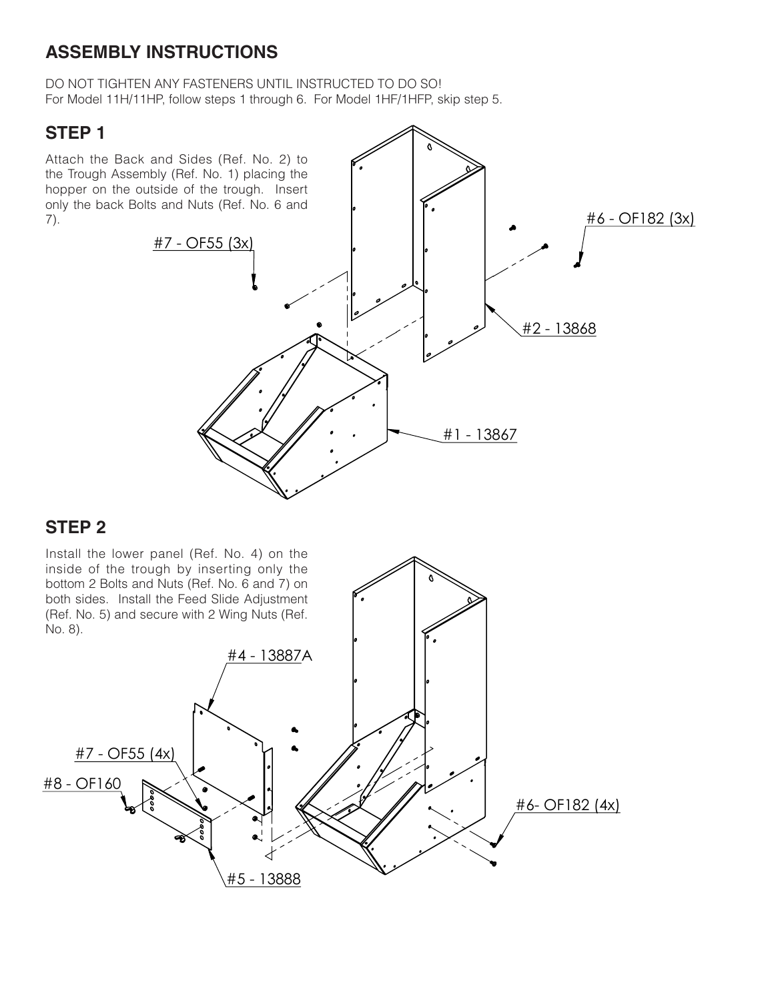## **ASSEMBLY INSTRUCTIONS**

DO NOT TIGHTEN ANY FASTENERS UNTIL INSTRUCTED TO DO SO! For Model 11H/11HP, follow steps 1 through 6. For Model 1HF/1HFP, skip step 5.

#### **STEP 1**

Attach the Back and Sides (Ref. No. 2) to the Trough Assembly (Ref. No. 1) placing the the hough Assembly (Her. No. 1) placing the<br>hopper on the outside of the trough. Insert only the back Bolts and Nuts (Ref. No. 6 and 7).



## **STEP 2**

inside of the trough by inserting only the bottom 2 Bolts and Nuts (Ref. No. 6 and 7) on Install the lower panel (Ref. No. 4) on the inside of the trough by inserting only the both sides. Install the Feed Slide Adjustment

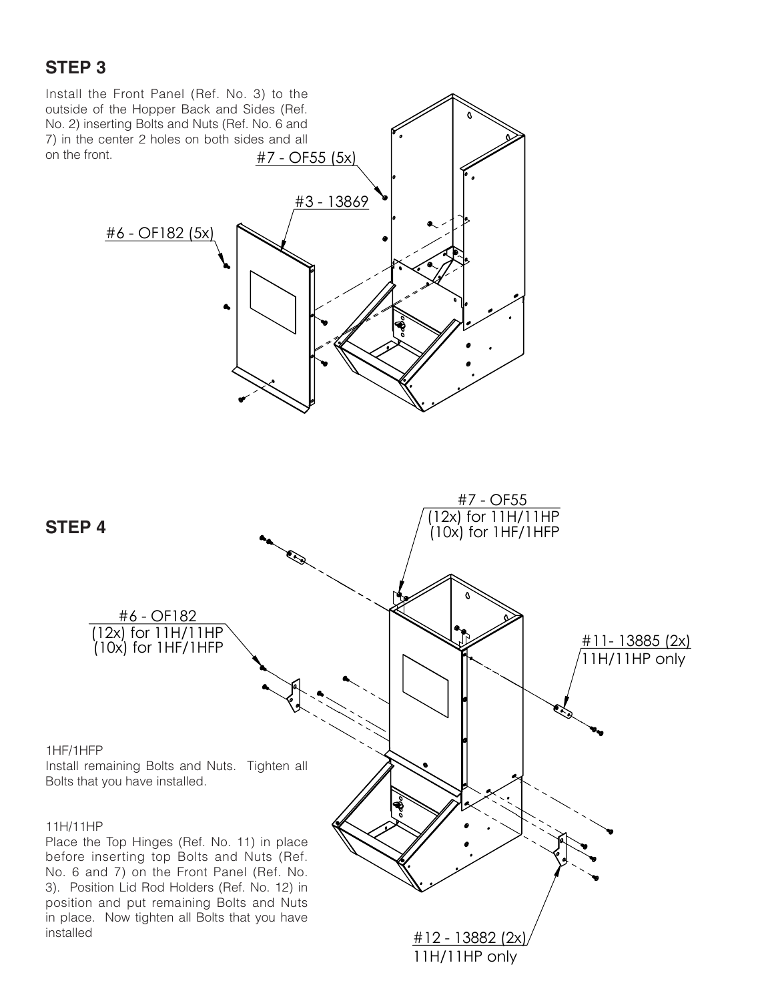# **STEP 3**